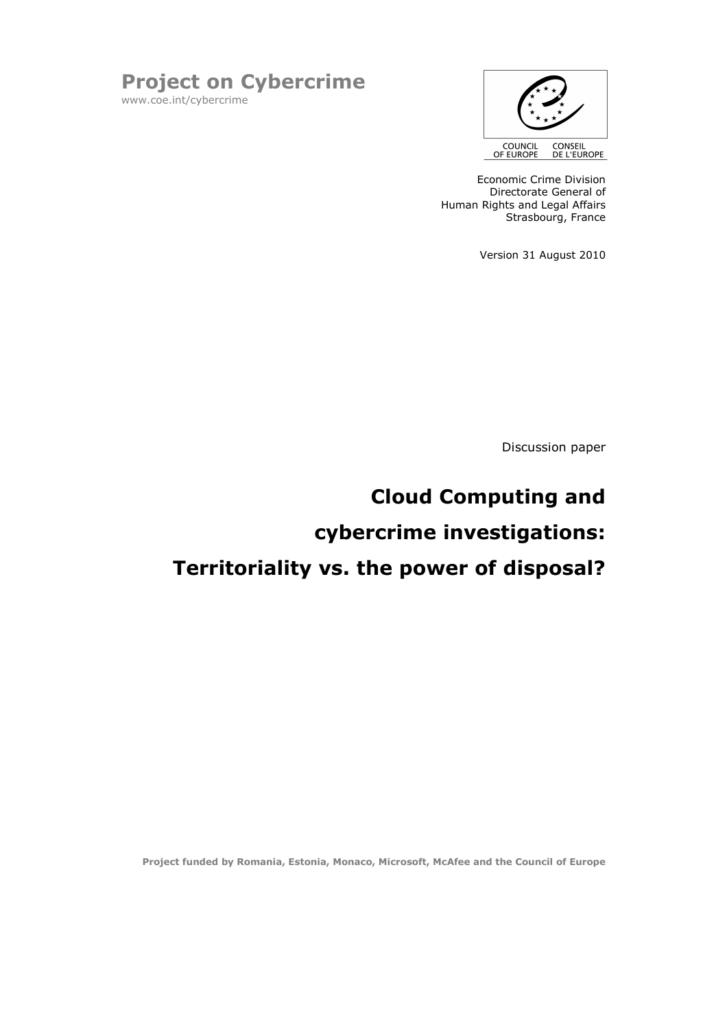



Economic Crime Division Directorate General of Human Rights and Legal Affairs Strasbourg, France

Version 31 August 2010

Discussion paper

# Cloud Computing and cybercrime investigations: Territoriality vs. the power of disposal?

Project funded by Romania, Estonia, Monaco, Microsoft, McAfee and the Council of Europe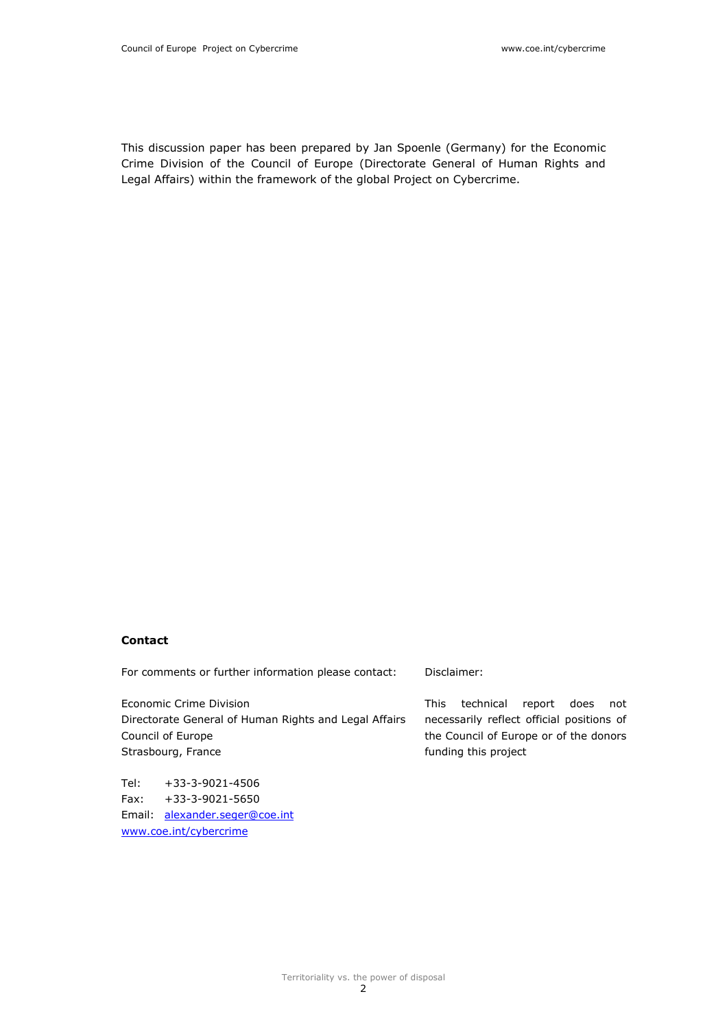This discussion paper has been prepared by Jan Spoenle (Germany) for the Economic Crime Division of the Council of Europe (Directorate General of Human Rights and Legal Affairs) within the framework of the global Project on Cybercrime.

#### Contact

For comments or further information please contact:

Economic Crime Division Directorate General of Human Rights and Legal Affairs Council of Europe Strasbourg, France

Tel: +33-3-9021-4506 Fax: +33-3-9021-5650 Email: alexander.seger@coe.int www.coe.int/cybercrime

Disclaimer:

This technical report does not necessarily reflect official positions of the Council of Europe or of the donors funding this project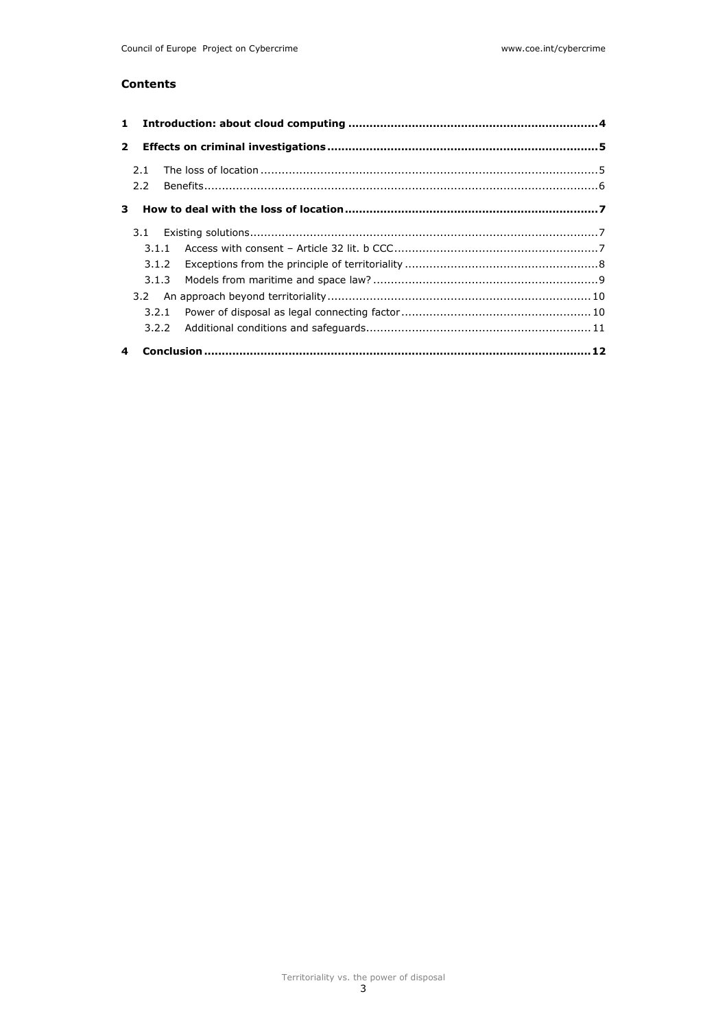## Contents

| $\mathbf{2}$ |     |  |  |
|--------------|-----|--|--|
|              |     |  |  |
|              | 2.1 |  |  |
|              | 2.2 |  |  |
|              |     |  |  |
|              | 3.1 |  |  |
|              |     |  |  |
|              |     |  |  |
|              |     |  |  |
|              |     |  |  |
|              |     |  |  |
|              |     |  |  |
|              |     |  |  |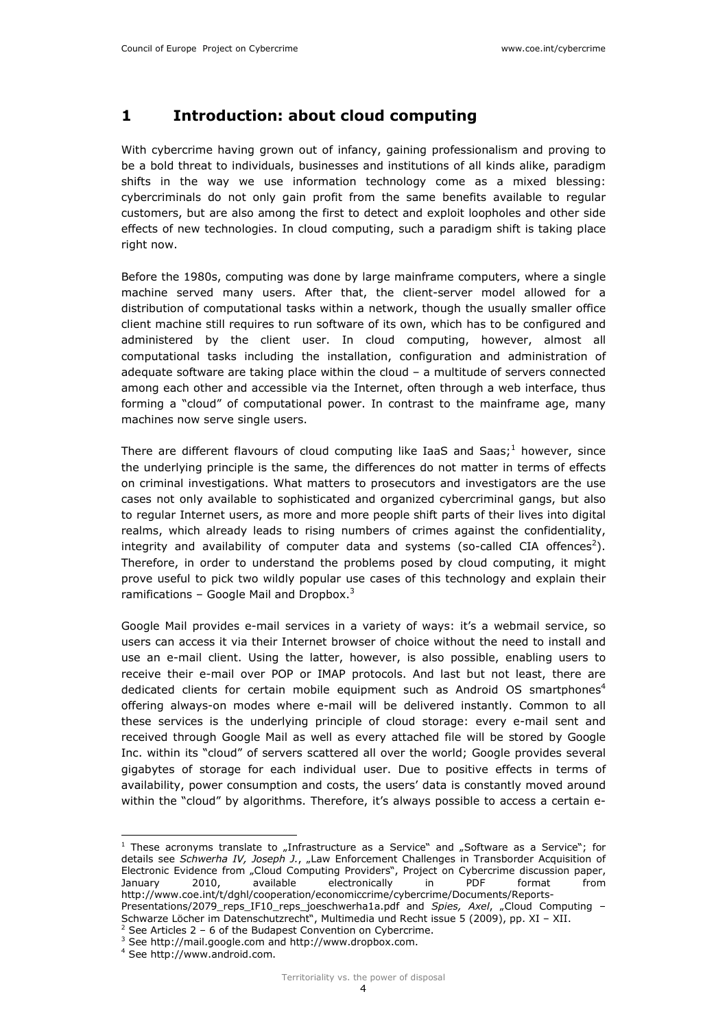# 1 Introduction: about cloud computing

With cybercrime having grown out of infancy, gaining professionalism and proving to be a bold threat to individuals, businesses and institutions of all kinds alike, paradigm shifts in the way we use information technology come as a mixed blessing: cybercriminals do not only gain profit from the same benefits available to regular customers, but are also among the first to detect and exploit loopholes and other side effects of new technologies. In cloud computing, such a paradigm shift is taking place right now.

Before the 1980s, computing was done by large mainframe computers, where a single machine served many users. After that, the client-server model allowed for a distribution of computational tasks within a network, though the usually smaller office client machine still requires to run software of its own, which has to be configured and administered by the client user. In cloud computing, however, almost all computational tasks including the installation, configuration and administration of adequate software are taking place within the cloud – a multitude of servers connected among each other and accessible via the Internet, often through a web interface, thus forming a "cloud" of computational power. In contrast to the mainframe age, many machines now serve single users.

There are different flavours of cloud computing like IaaS and Saas;<sup>1</sup> however, since the underlying principle is the same, the differences do not matter in terms of effects on criminal investigations. What matters to prosecutors and investigators are the use cases not only available to sophisticated and organized cybercriminal gangs, but also to regular Internet users, as more and more people shift parts of their lives into digital realms, which already leads to rising numbers of crimes against the confidentiality, integrity and availability of computer data and systems (so-called CIA offences<sup>2</sup>). Therefore, in order to understand the problems posed by cloud computing, it might prove useful to pick two wildly popular use cases of this technology and explain their ramifications - Google Mail and Dropbox. $3$ 

Google Mail provides e-mail services in a variety of ways: it's a webmail service, so users can access it via their Internet browser of choice without the need to install and use an e-mail client. Using the latter, however, is also possible, enabling users to receive their e-mail over POP or IMAP protocols. And last but not least, there are dedicated clients for certain mobile equipment such as Android OS smartphones<sup>4</sup> offering always-on modes where e-mail will be delivered instantly. Common to all these services is the underlying principle of cloud storage: every e-mail sent and received through Google Mail as well as every attached file will be stored by Google Inc. within its "cloud" of servers scattered all over the world; Google provides several gigabytes of storage for each individual user. Due to positive effects in terms of availability, power consumption and costs, the users' data is constantly moved around within the "cloud" by algorithms. Therefore, it's always possible to access a certain e-

i<br>I

 $<sup>1</sup>$  These acronyms translate to "Infrastructure as a Service" and "Software as a Service"; for</sup> details see Schwerha IV, Joseph J., "Law Enforcement Challenges in Transborder Acquisition of Electronic Evidence from "Cloud Computing Providers", Project on Cybercrime discussion paper, January 2010, available electronically in PDF format from http://www.coe.int/t/dghl/cooperation/economiccrime/cybercrime/Documents/Reports-Presentations/2079 reps IF10 reps\_joeschwerha1a.pdf and Spies, Axel, "Cloud Computing – Schwarze Löcher im Datenschutzrecht", Multimedia und Recht issue 5 (2009), pp. XI – XII.

 $2$  See Articles 2 – 6 of the Budapest Convention on Cybercrime.

<sup>&</sup>lt;sup>3</sup> See http://mail.google.com and http://www.dropbox.com.

<sup>4</sup> See http://www.android.com.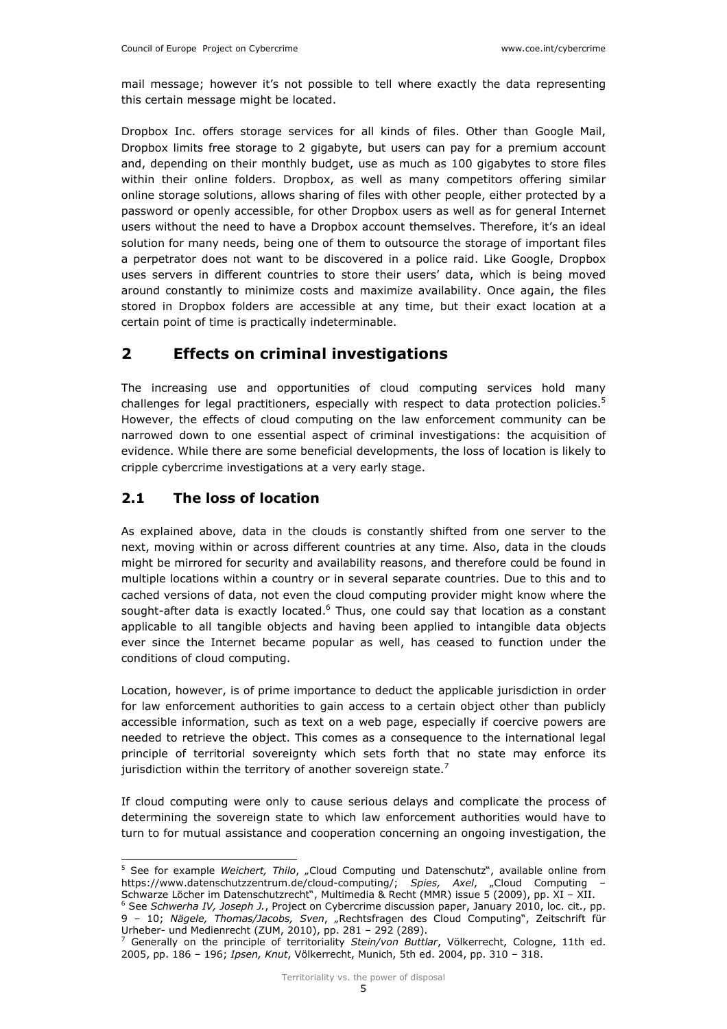mail message; however it's not possible to tell where exactly the data representing this certain message might be located.

Dropbox Inc. offers storage services for all kinds of files. Other than Google Mail, Dropbox limits free storage to 2 gigabyte, but users can pay for a premium account and, depending on their monthly budget, use as much as 100 gigabytes to store files within their online folders. Dropbox, as well as many competitors offering similar online storage solutions, allows sharing of files with other people, either protected by a password or openly accessible, for other Dropbox users as well as for general Internet users without the need to have a Dropbox account themselves. Therefore, it's an ideal solution for many needs, being one of them to outsource the storage of important files a perpetrator does not want to be discovered in a police raid. Like Google, Dropbox uses servers in different countries to store their users' data, which is being moved around constantly to minimize costs and maximize availability. Once again, the files stored in Dropbox folders are accessible at any time, but their exact location at a certain point of time is practically indeterminable.

# 2 Effects on criminal investigations

The increasing use and opportunities of cloud computing services hold many challenges for legal practitioners, especially with respect to data protection policies.<sup>5</sup> However, the effects of cloud computing on the law enforcement community can be narrowed down to one essential aspect of criminal investigations: the acquisition of evidence. While there are some beneficial developments, the loss of location is likely to cripple cybercrime investigations at a very early stage.

## 2.1 The loss of location

As explained above, data in the clouds is constantly shifted from one server to the next, moving within or across different countries at any time. Also, data in the clouds might be mirrored for security and availability reasons, and therefore could be found in multiple locations within a country or in several separate countries. Due to this and to cached versions of data, not even the cloud computing provider might know where the sought-after data is exactly located.<sup>6</sup> Thus, one could say that location as a constant applicable to all tangible objects and having been applied to intangible data objects ever since the Internet became popular as well, has ceased to function under the conditions of cloud computing.

Location, however, is of prime importance to deduct the applicable jurisdiction in order for law enforcement authorities to gain access to a certain object other than publicly accessible information, such as text on a web page, especially if coercive powers are needed to retrieve the object. This comes as a consequence to the international legal principle of territorial sovereignty which sets forth that no state may enforce its jurisdiction within the territory of another sovereign state.<sup>7</sup>

If cloud computing were only to cause serious delays and complicate the process of determining the sovereign state to which law enforcement authorities would have to turn to for mutual assistance and cooperation concerning an ongoing investigation, the

<sup>5&</sup>lt;br>
<sup>5</sup> See for example *Weichert, Thilo*, "Cloud Computing und Datenschutz", available online from https://www.datenschutzzentrum.de/cloud-computing/; Spies, Axel, "Cloud Computing – Schwarze Löcher im Datenschutzrecht", Multimedia & Recht (MMR) issue 5 (2009), pp. XI – XII.

<sup>&</sup>lt;sup>6</sup> See Schwerha IV, Joseph J., Project on Cybercrime discussion paper, January 2010, loc. cit., pp. 9 – 10; Nägele, Thomas/Jacobs, Sven, "Rechtsfragen des Cloud Computing", Zeitschrift für Urheber- und Medienrecht (ZUM, 2010), pp. 281 – 292 (289).

<sup>7</sup> Generally on the principle of territoriality Stein/von Buttlar, Völkerrecht, Cologne, 11th ed. 2005, pp. 186 – 196; Ipsen, Knut, Völkerrecht, Munich, 5th ed. 2004, pp. 310 – 318.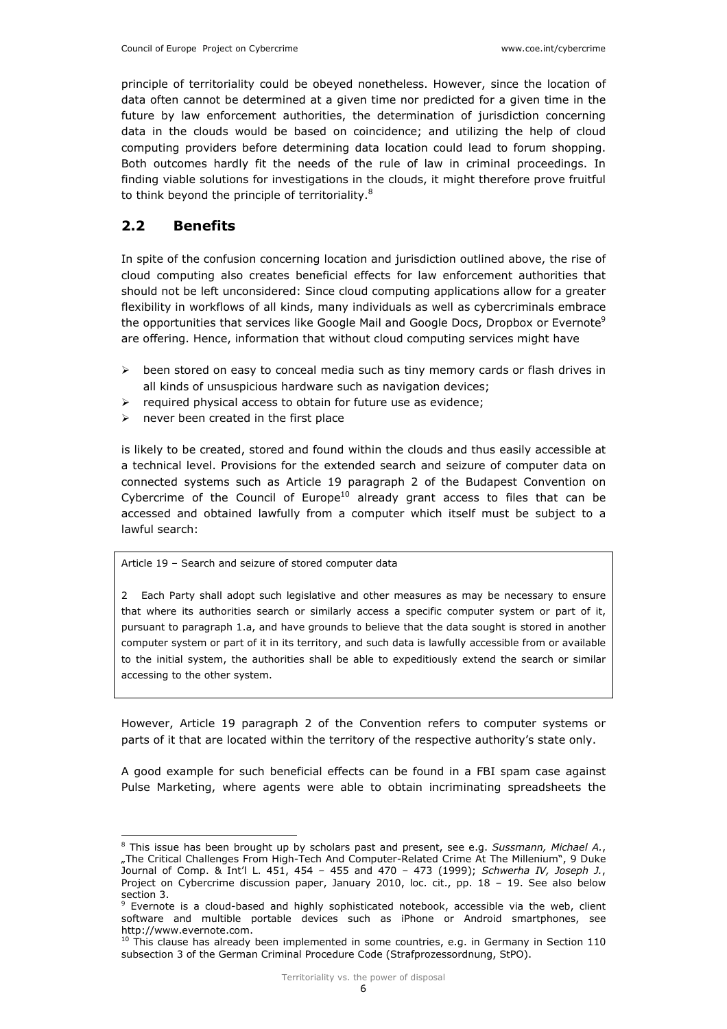principle of territoriality could be obeyed nonetheless. However, since the location of data often cannot be determined at a given time nor predicted for a given time in the future by law enforcement authorities, the determination of jurisdiction concerning data in the clouds would be based on coincidence; and utilizing the help of cloud computing providers before determining data location could lead to forum shopping. Both outcomes hardly fit the needs of the rule of law in criminal proceedings. In finding viable solutions for investigations in the clouds, it might therefore prove fruitful to think beyond the principle of territoriality.<sup>8</sup>

## 2.2 Benefits

i<br>I

In spite of the confusion concerning location and jurisdiction outlined above, the rise of cloud computing also creates beneficial effects for law enforcement authorities that should not be left unconsidered: Since cloud computing applications allow for a greater flexibility in workflows of all kinds, many individuals as well as cybercriminals embrace the opportunities that services like Google Mail and Google Docs, Dropbox or Evernote<sup>9</sup> are offering. Hence, information that without cloud computing services might have

- $\triangleright$  been stored on easy to conceal media such as tiny memory cards or flash drives in all kinds of unsuspicious hardware such as navigation devices;
- $\triangleright$  required physical access to obtain for future use as evidence;
- $\triangleright$  never been created in the first place

is likely to be created, stored and found within the clouds and thus easily accessible at a technical level. Provisions for the extended search and seizure of computer data on connected systems such as Article 19 paragraph 2 of the Budapest Convention on Cybercrime of the Council of Europe $10$  already grant access to files that can be accessed and obtained lawfully from a computer which itself must be subject to a lawful search:

Article 19 – Search and seizure of stored computer data

2 Each Party shall adopt such legislative and other measures as may be necessary to ensure that where its authorities search or similarly access a specific computer system or part of it, pursuant to paragraph 1.a, and have grounds to believe that the data sought is stored in another computer system or part of it in its territory, and such data is lawfully accessible from or available to the initial system, the authorities shall be able to expeditiously extend the search or similar accessing to the other system.

However, Article 19 paragraph 2 of the Convention refers to computer systems or parts of it that are located within the territory of the respective authority's state only.

A good example for such beneficial effects can be found in a FBI spam case against Pulse Marketing, where agents were able to obtain incriminating spreadsheets the

<sup>&</sup>lt;sup>8</sup> This issue has been brought up by scholars past and present, see e.g. Sussmann, Michael A., "The Critical Challenges From High-Tech And Computer-Related Crime At The Millenium", 9 Duke Journal of Comp. & Int'l L.  $451, 454 - 455$  and  $470 - 473$  (1999); Schwerha IV, Joseph J., Project on Cybercrime discussion paper, January 2010, loc. cit., pp. 18 - 19. See also below section 3.

<sup>&</sup>lt;sup>9</sup> Evernote is a cloud-based and highly sophisticated notebook, accessible via the web, client software and multible portable devices such as iPhone or Android smartphones, see http://www.evernote.com.

 $10$  This clause has already been implemented in some countries, e.g. in Germany in Section 110 subsection 3 of the German Criminal Procedure Code (Strafprozessordnung, StPO).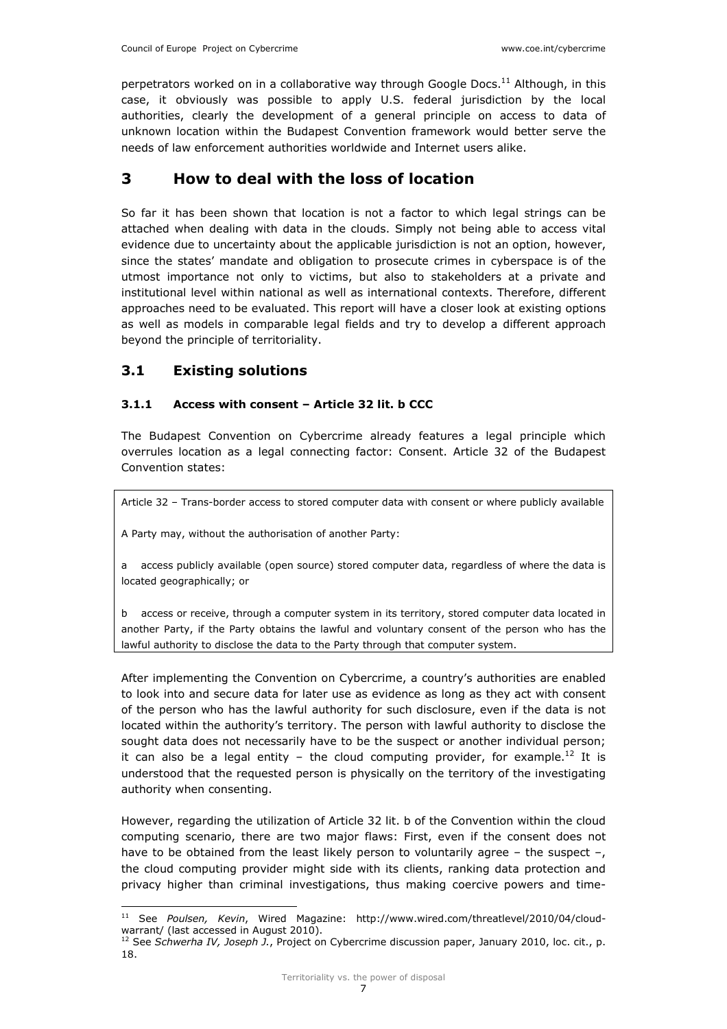perpetrators worked on in a collaborative way through Google Docs.<sup>11</sup> Although, in this case, it obviously was possible to apply U.S. federal jurisdiction by the local authorities, clearly the development of a general principle on access to data of unknown location within the Budapest Convention framework would better serve the needs of law enforcement authorities worldwide and Internet users alike.

# 3 How to deal with the loss of location

So far it has been shown that location is not a factor to which legal strings can be attached when dealing with data in the clouds. Simply not being able to access vital evidence due to uncertainty about the applicable jurisdiction is not an option, however, since the states' mandate and obligation to prosecute crimes in cyberspace is of the utmost importance not only to victims, but also to stakeholders at a private and institutional level within national as well as international contexts. Therefore, different approaches need to be evaluated. This report will have a closer look at existing options as well as models in comparable legal fields and try to develop a different approach beyond the principle of territoriality.

## 3.1 Existing solutions

## 3.1.1 Access with consent – Article 32 lit. b CCC

The Budapest Convention on Cybercrime already features a legal principle which overrules location as a legal connecting factor: Consent. Article 32 of the Budapest Convention states:

Article 32 – Trans-border access to stored computer data with consent or where publicly available

A Party may, without the authorisation of another Party:

a access publicly available (open source) stored computer data, regardless of where the data is located geographically; or

b access or receive, through a computer system in its territory, stored computer data located in another Party, if the Party obtains the lawful and voluntary consent of the person who has the lawful authority to disclose the data to the Party through that computer system.

After implementing the Convention on Cybercrime, a country's authorities are enabled to look into and secure data for later use as evidence as long as they act with consent of the person who has the lawful authority for such disclosure, even if the data is not located within the authority's territory. The person with lawful authority to disclose the sought data does not necessarily have to be the suspect or another individual person; it can also be a legal entity – the cloud computing provider, for example.<sup>12</sup> It is understood that the requested person is physically on the territory of the investigating authority when consenting.

However, regarding the utilization of Article 32 lit. b of the Convention within the cloud computing scenario, there are two major flaws: First, even if the consent does not have to be obtained from the least likely person to voluntarily agree - the suspect -, the cloud computing provider might side with its clients, ranking data protection and privacy higher than criminal investigations, thus making coercive powers and time-

i<br>I  $11$  See Poulsen, Kevin, Wired Magazine: http://www.wired.com/threatlevel/2010/04/cloudwarrant/ (last accessed in August 2010).

 $12$  See Schwerha IV, Joseph J., Project on Cybercrime discussion paper, January 2010, loc. cit., p. 18.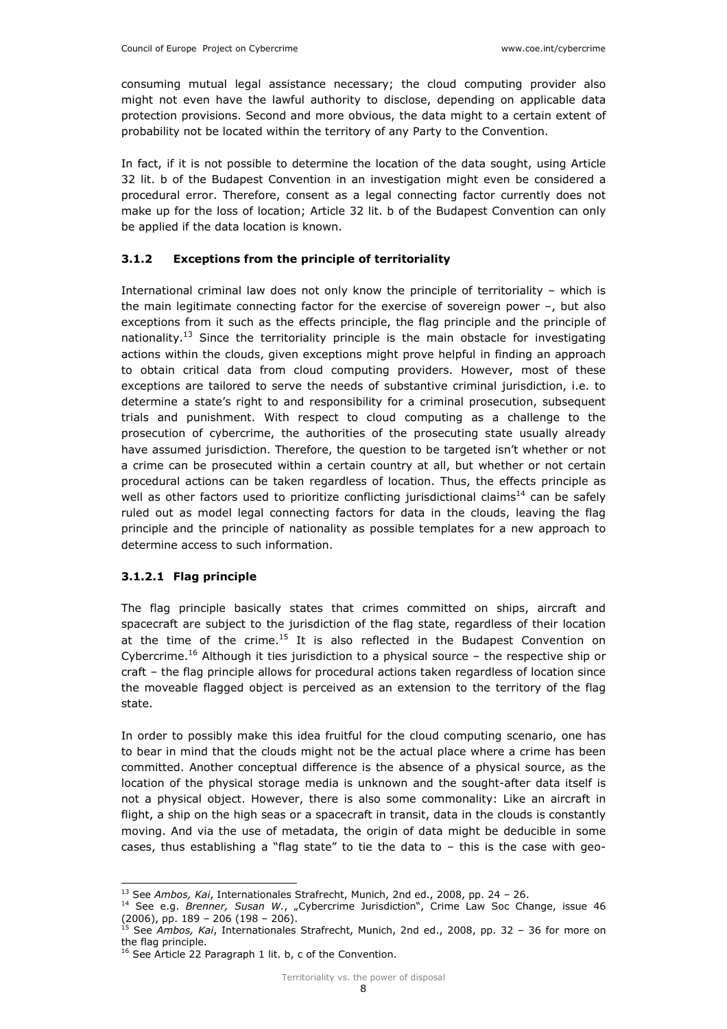consuming mutual legal assistance necessary; the cloud computing provider also might not even have the lawful authority to disclose, depending on applicable data protection provisions. Second and more obvious, the data might to a certain extent of probability not be located within the territory of any Party to the Convention.

In fact, if it is not possible to determine the location of the data sought, using Article 32 lit. b of the Budapest Convention in an investigation might even be considered a procedural error. Therefore, consent as a legal connecting factor currently does not make up for the loss of location; Article 32 lit. b of the Budapest Convention can only be applied if the data location is known.

#### 3.1.2 Exceptions from the principle of territoriality

International criminal law does not only know the principle of territoriality – which is the main legitimate connecting factor for the exercise of sovereign power –, but also exceptions from it such as the effects principle, the flag principle and the principle of nationality.<sup>13</sup> Since the territoriality principle is the main obstacle for investigating actions within the clouds, given exceptions might prove helpful in finding an approach to obtain critical data from cloud computing providers. However, most of these exceptions are tailored to serve the needs of substantive criminal jurisdiction, i.e. to determine a state's right to and responsibility for a criminal prosecution, subsequent trials and punishment. With respect to cloud computing as a challenge to the prosecution of cybercrime, the authorities of the prosecuting state usually already have assumed jurisdiction. Therefore, the question to be targeted isn't whether or not a crime can be prosecuted within a certain country at all, but whether or not certain procedural actions can be taken regardless of location. Thus, the effects principle as well as other factors used to prioritize conflicting jurisdictional claims<sup>14</sup> can be safely ruled out as model legal connecting factors for data in the clouds, leaving the flag principle and the principle of nationality as possible templates for a new approach to determine access to such information.

#### 3.1.2.1 Flag principle

i<br>I

The flag principle basically states that crimes committed on ships, aircraft and spacecraft are subject to the jurisdiction of the flag state, regardless of their location at the time of the crime.<sup>15</sup> It is also reflected in the Budapest Convention on Cybercrime.<sup>16</sup> Although it ties jurisdiction to a physical source – the respective ship or craft – the flag principle allows for procedural actions taken regardless of location since the moveable flagged object is perceived as an extension to the territory of the flag state.

In order to possibly make this idea fruitful for the cloud computing scenario, one has to bear in mind that the clouds might not be the actual place where a crime has been committed. Another conceptual difference is the absence of a physical source, as the location of the physical storage media is unknown and the sought-after data itself is not a physical object. However, there is also some commonality: Like an aircraft in flight, a ship on the high seas or a spacecraft in transit, data in the clouds is constantly moving. And via the use of metadata, the origin of data might be deducible in some cases, thus establishing a "flag state" to tie the data to  $-$  this is the case with geo-

<sup>&</sup>lt;sup>13</sup> See Ambos, Kai, Internationales Strafrecht, Munich, 2nd ed., 2008, pp. 24 - 26.

 $14$  See e.g. Brenner, Susan W., "Cybercrime Jurisdiction", Crime Law Soc Change, issue 46 (2006), pp. 189 – 206 (198 – 206).

<sup>&</sup>lt;sup>15</sup> See Ambos, Kai, Internationales Strafrecht, Munich, 2nd ed., 2008, pp. 32 - 36 for more on the flag principle.

<sup>&</sup>lt;sup>16</sup> See Article 22 Paragraph 1 lit. b, c of the Convention.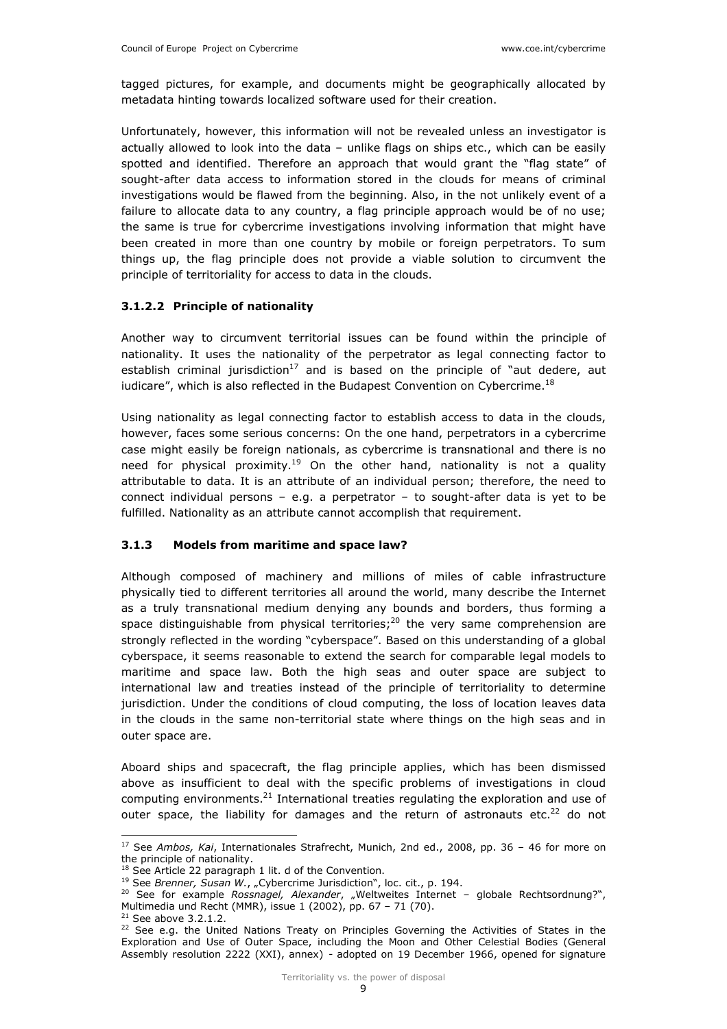tagged pictures, for example, and documents might be geographically allocated by metadata hinting towards localized software used for their creation.

Unfortunately, however, this information will not be revealed unless an investigator is actually allowed to look into the data – unlike flags on ships etc., which can be easily spotted and identified. Therefore an approach that would grant the "flag state" of sought-after data access to information stored in the clouds for means of criminal investigations would be flawed from the beginning. Also, in the not unlikely event of a failure to allocate data to any country, a flag principle approach would be of no use; the same is true for cybercrime investigations involving information that might have been created in more than one country by mobile or foreign perpetrators. To sum things up, the flag principle does not provide a viable solution to circumvent the principle of territoriality for access to data in the clouds.

#### 3.1.2.2 Principle of nationality

Another way to circumvent territorial issues can be found within the principle of nationality. It uses the nationality of the perpetrator as legal connecting factor to establish criminal jurisdiction<sup>17</sup> and is based on the principle of "aut dedere, aut iudicare", which is also reflected in the Budapest Convention on Cybercrime.<sup>18</sup>

Using nationality as legal connecting factor to establish access to data in the clouds, however, faces some serious concerns: On the one hand, perpetrators in a cybercrime case might easily be foreign nationals, as cybercrime is transnational and there is no need for physical proximity.<sup>19</sup> On the other hand, nationality is not a quality attributable to data. It is an attribute of an individual person; therefore, the need to connect individual persons  $-$  e.g. a perpetrator  $-$  to sought-after data is yet to be fulfilled. Nationality as an attribute cannot accomplish that requirement.

### 3.1.3 Models from maritime and space law?

Although composed of machinery and millions of miles of cable infrastructure physically tied to different territories all around the world, many describe the Internet as a truly transnational medium denying any bounds and borders, thus forming a space distinguishable from physical territories;<sup>20</sup> the very same comprehension are strongly reflected in the wording "cyberspace". Based on this understanding of a global cyberspace, it seems reasonable to extend the search for comparable legal models to maritime and space law. Both the high seas and outer space are subject to international law and treaties instead of the principle of territoriality to determine jurisdiction. Under the conditions of cloud computing, the loss of location leaves data in the clouds in the same non-territorial state where things on the high seas and in outer space are.

Aboard ships and spacecraft, the flag principle applies, which has been dismissed above as insufficient to deal with the specific problems of investigations in cloud computing environments. $^{21}$  International treaties regulating the exploration and use of outer space, the liability for damages and the return of astronauts etc. $^{22}$  do not

 $21$  See above 3.2.1.2.

i<br>I  $17$  See Ambos, Kai, Internationales Strafrecht, Munich, 2nd ed., 2008, pp. 36 - 46 for more on the principle of nationality.

 $18$  See Article 22 paragraph 1 lit. d of the Convention.

 $19$  See Brenner, Susan W., "Cybercrime Jurisdiction", loc. cit., p. 194.

<sup>&</sup>lt;sup>20</sup> See for example Rossnagel, Alexander, "Weltweites Internet – globale Rechtsordnung?", Multimedia und Recht (MMR), issue 1 (2002), pp. 67 – 71 (70).

 $22$  See e.g. the United Nations Treaty on Principles Governing the Activities of States in the Exploration and Use of Outer Space, including the Moon and Other Celestial Bodies (General Assembly resolution 2222 (XXI), annex) - adopted on 19 December 1966, opened for signature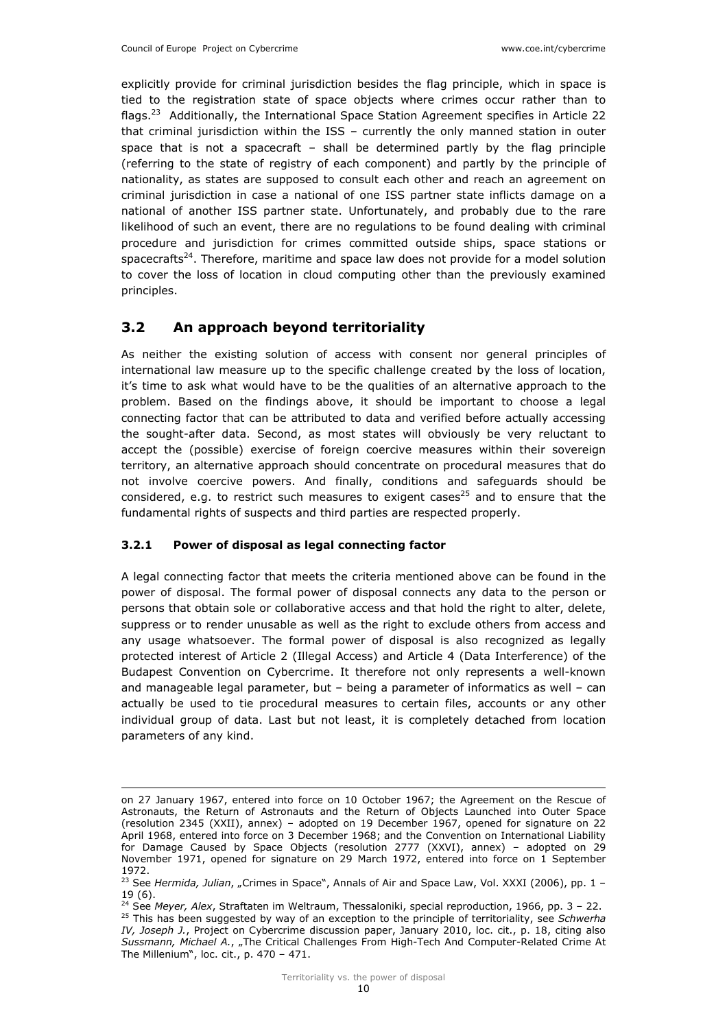explicitly provide for criminal jurisdiction besides the flag principle, which in space is tied to the registration state of space objects where crimes occur rather than to flags.<sup>23</sup> Additionally, the International Space Station Agreement specifies in Article 22 that criminal jurisdiction within the ISS – currently the only manned station in outer space that is not a spacecraft – shall be determined partly by the flag principle (referring to the state of registry of each component) and partly by the principle of nationality, as states are supposed to consult each other and reach an agreement on criminal jurisdiction in case a national of one ISS partner state inflicts damage on a national of another ISS partner state. Unfortunately, and probably due to the rare likelihood of such an event, there are no regulations to be found dealing with criminal procedure and jurisdiction for crimes committed outside ships, space stations or spacecrafts<sup>24</sup>. Therefore, maritime and space law does not provide for a model solution to cover the loss of location in cloud computing other than the previously examined principles.

## 3.2 An approach beyond territoriality

As neither the existing solution of access with consent nor general principles of international law measure up to the specific challenge created by the loss of location, it's time to ask what would have to be the qualities of an alternative approach to the problem. Based on the findings above, it should be important to choose a legal connecting factor that can be attributed to data and verified before actually accessing the sought-after data. Second, as most states will obviously be very reluctant to accept the (possible) exercise of foreign coercive measures within their sovereign territory, an alternative approach should concentrate on procedural measures that do not involve coercive powers. And finally, conditions and safeguards should be considered, e.g. to restrict such measures to exigent cases<sup>25</sup> and to ensure that the fundamental rights of suspects and third parties are respected properly.

#### 3.2.1 Power of disposal as legal connecting factor

The Millenium", loc. cit., p. 470 – 471.

A legal connecting factor that meets the criteria mentioned above can be found in the power of disposal. The formal power of disposal connects any data to the person or persons that obtain sole or collaborative access and that hold the right to alter, delete, suppress or to render unusable as well as the right to exclude others from access and any usage whatsoever. The formal power of disposal is also recognized as legally protected interest of Article 2 (Illegal Access) and Article 4 (Data Interference) of the Budapest Convention on Cybercrime. It therefore not only represents a well-known and manageable legal parameter, but – being a parameter of informatics as well – can actually be used to tie procedural measures to certain files, accounts or any other individual group of data. Last but not least, it is completely detached from location parameters of any kind.

i<br>I on 27 January 1967, entered into force on 10 October 1967; the Agreement on the Rescue of Astronauts, the Return of Astronauts and the Return of Objects Launched into Outer Space (resolution 2345 (XXII), annex) – adopted on 19 December 1967, opened for signature on 22 April 1968, entered into force on 3 December 1968; and the Convention on International Liability for Damage Caused by Space Objects (resolution 2777 (XXVI), annex) – adopted on 29 November 1971, opened for signature on 29 March 1972, entered into force on 1 September 1972.

<sup>&</sup>lt;sup>23</sup> See Hermida, Julian, "Crimes in Space", Annals of Air and Space Law, Vol. XXXI (2006), pp. 1 -19 (6).

 $24$  See Meyer, Alex, Straftaten im Weltraum, Thessaloniki, special reproduction, 1966, pp. 3 – 22.  $25$  This has been suggested by way of an exception to the principle of territoriality, see Schwerha IV, Joseph J., Project on Cybercrime discussion paper, January 2010, loc. cit., p. 18, citing also Sussmann, Michael A., "The Critical Challenges From High-Tech And Computer-Related Crime At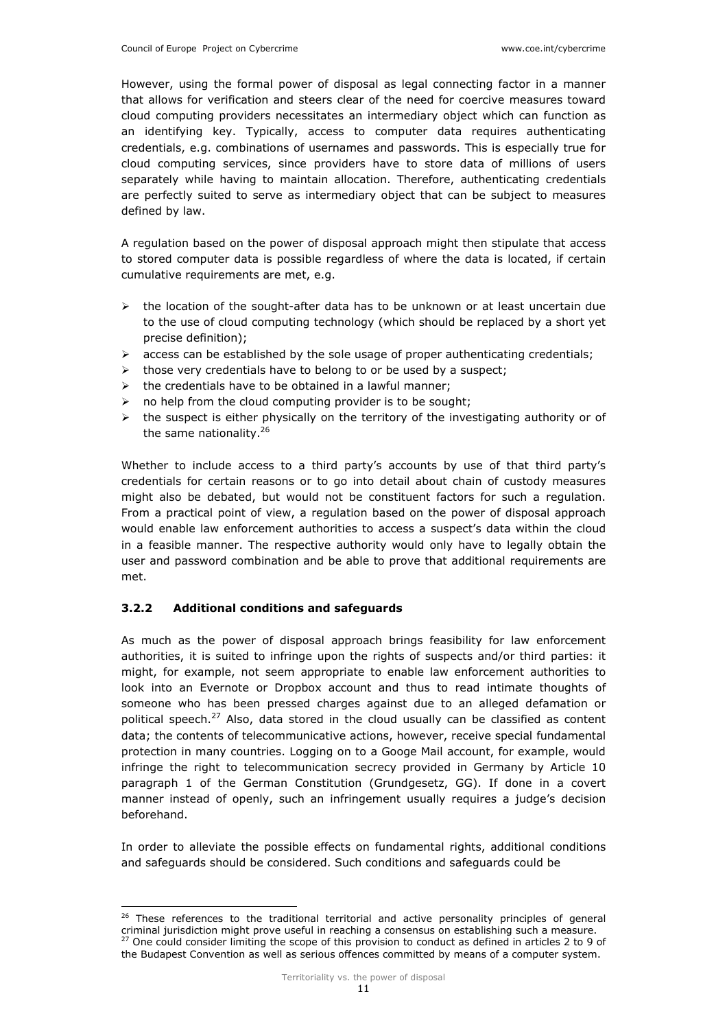However, using the formal power of disposal as legal connecting factor in a manner that allows for verification and steers clear of the need for coercive measures toward cloud computing providers necessitates an intermediary object which can function as an identifying key. Typically, access to computer data requires authenticating credentials, e.g. combinations of usernames and passwords. This is especially true for cloud computing services, since providers have to store data of millions of users separately while having to maintain allocation. Therefore, authenticating credentials are perfectly suited to serve as intermediary object that can be subject to measures defined by law.

A regulation based on the power of disposal approach might then stipulate that access to stored computer data is possible regardless of where the data is located, if certain cumulative requirements are met, e.g.

- $\triangleright$  the location of the sought-after data has to be unknown or at least uncertain due to the use of cloud computing technology (which should be replaced by a short yet precise definition);
- $\triangleright$  access can be established by the sole usage of proper authenticating credentials;
- those very credentials have to belong to or be used by a suspect;
- $\triangleright$  the credentials have to be obtained in a lawful manner;
- $\triangleright$  no help from the cloud computing provider is to be sought;
- $\triangleright$  the suspect is either physically on the territory of the investigating authority or of the same nationality.<sup>26</sup>

Whether to include access to a third party's accounts by use of that third party's credentials for certain reasons or to go into detail about chain of custody measures might also be debated, but would not be constituent factors for such a regulation. From a practical point of view, a regulation based on the power of disposal approach would enable law enforcement authorities to access a suspect's data within the cloud in a feasible manner. The respective authority would only have to legally obtain the user and password combination and be able to prove that additional requirements are met.

### 3.2.2 Additional conditions and safeguards

As much as the power of disposal approach brings feasibility for law enforcement authorities, it is suited to infringe upon the rights of suspects and/or third parties: it might, for example, not seem appropriate to enable law enforcement authorities to look into an Evernote or Dropbox account and thus to read intimate thoughts of someone who has been pressed charges against due to an alleged defamation or political speech.<sup>27</sup> Also, data stored in the cloud usually can be classified as content data; the contents of telecommunicative actions, however, receive special fundamental protection in many countries. Logging on to a Googe Mail account, for example, would infringe the right to telecommunication secrecy provided in Germany by Article 10 paragraph 1 of the German Constitution (Grundgesetz, GG). If done in a covert manner instead of openly, such an infringement usually requires a judge's decision beforehand.

In order to alleviate the possible effects on fundamental rights, additional conditions and safeguards should be considered. Such conditions and safeguards could be

i<br>I <sup>26</sup> These references to the traditional territorial and active personality principles of general criminal jurisdiction might prove useful in reaching a consensus on establishing such a measure.  $27$  One could consider limiting the scope of this provision to conduct as defined in articles 2 to 9 of the Budapest Convention as well as serious offences committed by means of a computer system.